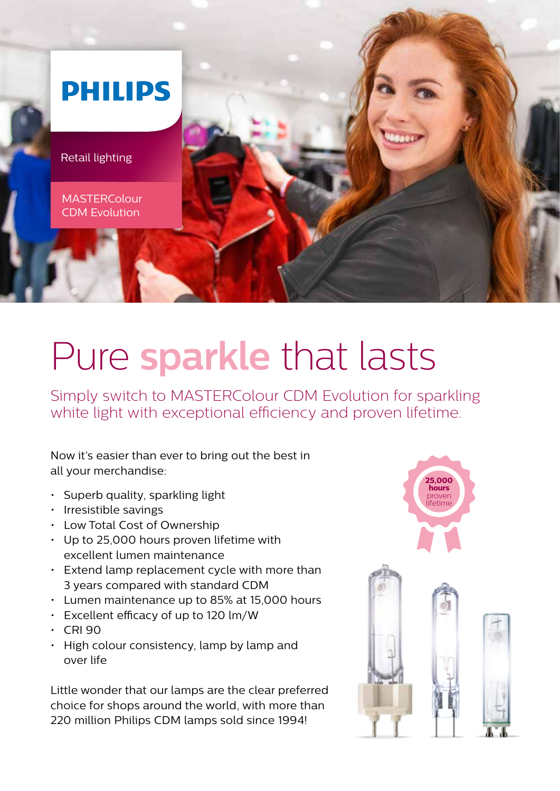

# Pure **sparkle** that lasts

Simply switch to MASTERColour CDM Evolution for sparkling white light with exceptional efficiency and proven lifetime.

Now it's easier than ever to bring out the best in all your merchandise:

- Superb quality, sparkling light
- Irresistible savings
- Low Total Cost of Ownership
- Up to 25,000 hours proven lifetime with excellent lumen maintenance
- Extend lamp replacement cycle with more than 3 years compared with standard CDM
- Lumen maintenance up to 85% at 15,000 hours
- Excellent efficacy of up to 120 lm/W
- CRI 90
- High colour consistency, lamp by lamp and over life

Little wonder that our lamps are the clear preferred choice for shops around the world, with more than 220 million Philips CDM lamps sold since 1994!

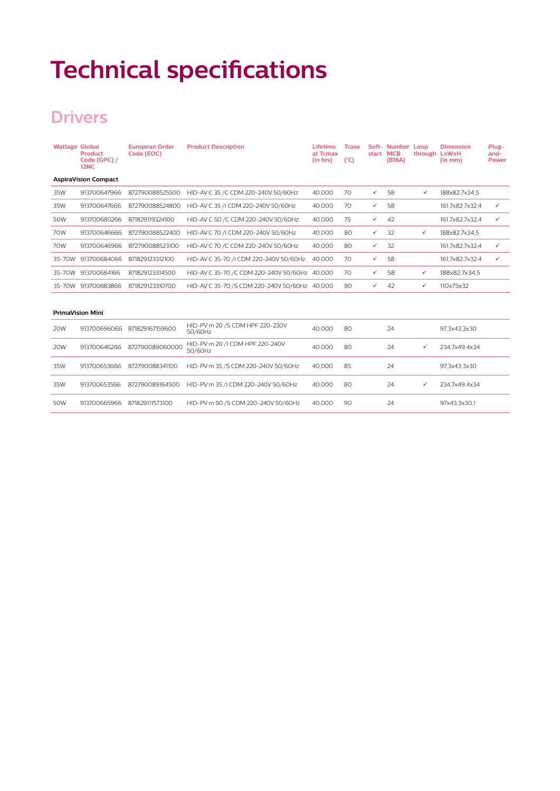## **Technical specifications**

## **Drivers**

| <b>Wattage Global</b> | Product<br>Code (GPC) /<br>12NC | <b>European Order</b><br>Code (EOC) | <b>Product Description</b>                     | Lifetime<br>at Tcmax<br>(in hrs) | <b>Tcase</b><br>(C) | start | Soft- Number Loop<br><b>MCB</b><br>(B16A) | through LxWxH | <b>Dimension</b><br>(in mm) | Plug-<br>and-<br><b>Power</b> |
|-----------------------|---------------------------------|-------------------------------------|------------------------------------------------|----------------------------------|---------------------|-------|-------------------------------------------|---------------|-----------------------------|-------------------------------|
|                       | <b>AspiraVision Compact</b>     |                                     |                                                |                                  |                     |       |                                           |               |                             |                               |
| 35W                   | 913700647966                    | 872790088525500                     | HID-AV C 35 / C CDM 220-240V 50/60Hz           | 40.000                           | 70                  | ✓     | 58                                        | ✓             | 188x82.7x34.5               |                               |
| 35W                   | 913700647666                    | 872790088524800                     | HID-AV C 35 /I CDM 220-240V 50/60Hz            | 40,000                           | 70                  | ✓     | 58                                        |               | 161,7x82,7x32,4             | $\checkmark$                  |
| 50W                   | 913700680266                    | 871829119324100                     | HID-AV C 50 /C CDM 220-240V 50/60Hz            | 40,000                           | 75                  | ✓     | 42                                        |               | 161,7x82,7x32,4             | $\checkmark$                  |
| 70W                   | 913700646666                    | 872790088522400                     | HID-AV C 70 /I CDM 220-240V 50/60Hz            | 40,000                           | 80                  | ✓     | 32                                        | ✓             | 188x82,7x34,5               |                               |
| 70W                   | 913700646966                    | 872790088523100                     | HID-AV C 70 / C CDM 220-240V 50/60Hz           | 40.000                           | 80                  | ✓     | 32                                        |               | 161,7x82,7x32,4             | ✓                             |
| 35-70W                | 913700684066                    | 871829123312100                     | HID-AV C 35-70 /I CDM 220-240V 50/60Hz         | 40.000                           | 70                  | ✓     | 58                                        |               | 161,7x82,7x32,4             | ✓                             |
| 35-70W                | 913700684166                    | 871829123314500                     | HID-AV C 35-70 / C CDM 220-240V 50/60Hz 40,000 |                                  | 70                  | ✓     | 58                                        | ✓             | 188x82,7x34,5               |                               |
|                       | 35-70W 913700683866             | 871829123310700                     | HID-AV C 35-70 /S CDM 220-240V 50/60Hz 40.000  |                                  | 80                  | ✓     | 42                                        | ✓             | 110x75x32                   |                               |
|                       | <b>PrimaVision Mini</b>         |                                     |                                                |                                  |                     |       |                                           |               |                             |                               |
| <b>20W</b>            | 913700696066                    | 871829167159600                     | HID-PV m 20 /S CDM HPF 220-230V<br>50/60Hz     | 40.000                           | 80                  |       | 24                                        |               | 97,3x43,3x30                |                               |
| <b>20W</b>            | 913700646266                    | 872790089060000                     | HID-PV m 20 /I CDM HPF 220-240V<br>50/60Hz     | 40,000                           | 80                  |       | 24                                        | ✓             | 234,7x49,4x34               |                               |
| 35W                   | 913700653666                    | 872790088341100                     | HID-PV m 35 /S CDM 220-240V 50/60Hz            | 40,000                           | 85                  |       | 24                                        |               | 97,3x43,3x30                |                               |
| 35W                   | 913700653566                    | 872790089164500                     | HID-PV m 35 /I CDM 220-240V 50/60Hz            | 40.000                           | 80                  |       | 24                                        | $\checkmark$  | 234.7x49.4x34               |                               |

50W 913700665966 871829111573100 HID-PV m 50 /S CDM 220-240V 50/60Hz 40,000 90 24 97x43,3x30,1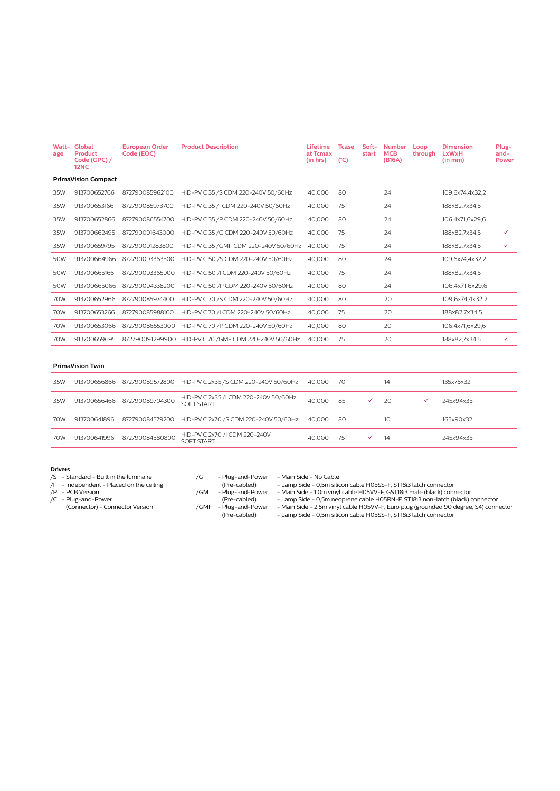| <b>Watt-</b><br>age | Global<br>Product<br>Code (GPC) /<br><b>12NC</b> | <b>European Order</b><br>Code (EOC) | <b>Product Description</b>             | <b>Lifetime</b><br>at Tcmax<br>(in hrs) | <b>Tcase</b><br>$(^{\circ}C)$ | Soft-<br>start | <b>Number</b><br><b>MCB</b><br>(B16A) | Loop<br>through | <b>Dimension</b><br><b>LxWxH</b><br>(in mm) | Plug-<br>and-<br><b>Power</b> |
|---------------------|--------------------------------------------------|-------------------------------------|----------------------------------------|-----------------------------------------|-------------------------------|----------------|---------------------------------------|-----------------|---------------------------------------------|-------------------------------|
|                     | <b>PrimaVision Compact</b>                       |                                     |                                        |                                         |                               |                |                                       |                 |                                             |                               |
| 35W                 | 913700652766                                     | 872790085962100                     | HID-PV C 35 /S CDM 220-240V 50/60Hz    | 40,000                                  | 80                            |                | 24                                    |                 | 109,6x74,4x32,2                             |                               |
| 35W                 | 913700653166                                     | 872790085973700                     | HID-PV C 35 /I CDM 220-240V 50/60Hz    | 40,000                                  | 75                            |                | 24                                    |                 | 188x82.7x34.5                               |                               |
| 35W                 | 913700652866                                     | 872790086554700                     | HID-PV C 35 /P CDM 220-240V 50/60Hz    | 40,000                                  | 80                            |                | 24                                    |                 | 106,4x71,6x29,6                             |                               |
| 35W                 | 913700662495                                     | 872790091643000                     | HID-PV C 35 /G CDM 220-240V 50/60Hz    | 40,000                                  | 75                            |                | 24                                    |                 | 188x82,7x34,5                               | ✓                             |
| 35W                 | 913700659795                                     | 872790091283800                     | HID-PV C 35 / GMF CDM 220-240V 50/60Hz | 40,000                                  | 75                            |                | 24                                    |                 | 188x82,7x34,5                               | ✓                             |
| 50W                 | 913700664966                                     | 872790093363500                     | HID-PV C 50 /S CDM 220-240V 50/60Hz    | 40,000                                  | 80                            |                | 24                                    |                 | 109,6x74,4x32,2                             |                               |
| 50W                 | 913700665166                                     | 872790093365900                     | HID-PV C 50 /I CDM 220-240V 50/60Hz    | 40,000                                  | 75                            |                | 24                                    |                 | 188x82,7x34,5                               |                               |
| 50W                 | 913700665066                                     | 872790094338200                     | HID-PV C 50 /P CDM 220-240V 50/60Hz    | 40,000                                  | 80                            |                | 24                                    |                 | 106.4x71.6x29.6                             |                               |
| 70W                 | 913700652966                                     | 872790085974400                     | HID-PV C 70 /S CDM 220-240V 50/60Hz    | 40,000                                  | 80                            |                | 20                                    |                 | 109,6x74,4x32,2                             |                               |
| 70W                 | 913700653266                                     | 872790085988100                     | HID-PV C 70 /I CDM 220-240V 50/60Hz    | 40,000                                  | 75                            |                | 20                                    |                 | 188x82,7x34,5                               |                               |
| 70W                 | 913700653066                                     | 872790086553000                     | HID-PV C 70 /P CDM 220-240V 50/60Hz    | 40,000                                  | 80                            |                | 20                                    |                 | 106,4x71,6x29,6                             |                               |
| 70W                 | 913700659695                                     | 872790091299900                     | HID-PV C 70 / GMF CDM 220-240V 50/60Hz | 40,000                                  | 75                            |                | 20                                    |                 | 188x82,7x34,5                               | ✓                             |

#### **PrimaVision Twin**

| 35W | 913700656866 | 872790089572800              | HID-PV C 2x35 /S CDM 220-240V 50/60Hz               | 40.000 | -70 | 14  | 135x75x32 |
|-----|--------------|------------------------------|-----------------------------------------------------|--------|-----|-----|-----------|
| 35W |              | 913700656466 872790089704300 | HID-PV C 2x35 /I CDM 220-240V 50/60Hz<br>SOFT START | 40,000 | 85  | 20  | 245x94x35 |
| 70W | 913700641896 | 872790084579200              | HID-PV C 2x70 /S CDM 220-240V 50/60Hz               | 40.000 | -80 | 10  | 165x90x32 |
| 70W | 913700641996 | 872790084580800              | HID-PV C 2x70 /I CDM 220-240V<br>SOFT START         | 40,000 | 75  | -14 | 245x94x35 |

#### **Drivers**

- /S Standard Built in the luminaire
- /I Independent Placed on the ceiling
- /P PCB Version

/C - Plug-and-Power (Connector) - Connector Version

/G - Plug-and-Power - Main Side - No Cable

/GM - Plug-and-Power - Main Side - 1,0m vinyl cable H05VV-F, GST18i3 male (black) connector (Pre-cabled) - Lamp Side - 0,5m neoprene cable H05RN-F, ST18i3 non-latch (black) connector

(Pre-cabled) - Lamp Side - 0,5m silicon cable H05SS-F, ST18i3 latch connector<br>
/GM - Plug-and-Power - Main Side - 1,0m vinyl cable H05VV-F, GST18i3 male (black) conn<br>
(Pre-cabled) - Lamp Side - 0,5m neoprene cable H05RN-F, /GMF - Plug-and-Power - Main Side - 2,5m vinyl cable H05VV-F, Euro plug (grounded 90 degree, S4) connector (Pre-cabled) - Lamp Side - 0,5m silicon cable H05SS-F, ST18i3 latch connector